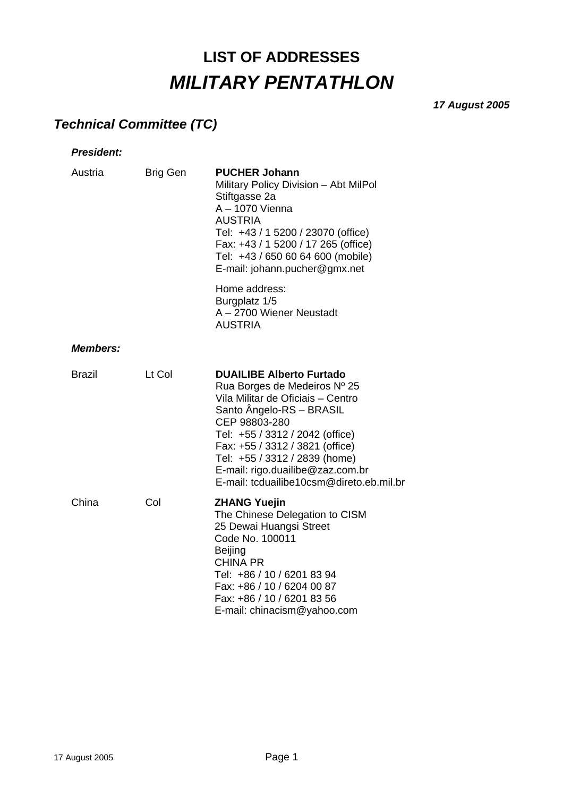# **LIST OF ADDRESSES**  *MILITARY PENTATHLON*

*17 August 2005* 

## *Technical Committee (TC)*

| <b>President:</b> |                 |                                                                                                                                                                                                                                                                                                                                          |
|-------------------|-----------------|------------------------------------------------------------------------------------------------------------------------------------------------------------------------------------------------------------------------------------------------------------------------------------------------------------------------------------------|
| Austria           | <b>Brig Gen</b> | <b>PUCHER Johann</b><br>Military Policy Division - Abt MilPol<br>Stiftgasse 2a<br>A - 1070 Vienna<br><b>AUSTRIA</b><br>Tel: +43 / 1 5200 / 23070 (office)<br>Fax: +43 / 1 5200 / 17 265 (office)<br>Tel: +43 / 650 60 64 600 (mobile)<br>E-mail: johann.pucher@gmx.net                                                                   |
|                   |                 | Home address:<br>Burgplatz 1/5<br>A - 2700 Wiener Neustadt<br><b>AUSTRIA</b>                                                                                                                                                                                                                                                             |
| <b>Members:</b>   |                 |                                                                                                                                                                                                                                                                                                                                          |
| Brazil            | Lt Col          | <b>DUAILIBE Alberto Furtado</b><br>Rua Borges de Medeiros Nº 25<br>Vila Militar de Oficiais - Centro<br>Santo Ängelo-RS - BRASIL<br>CEP 98803-280<br>Tel: +55 / 3312 / 2042 (office)<br>Fax: +55 / 3312 / 3821 (office)<br>Tel: +55 / 3312 / 2839 (home)<br>E-mail: rigo.duailibe@zaz.com.br<br>E-mail: tcduailibe10csm@direto.eb.mil.br |
| China             | Col             | <b>ZHANG Yuejin</b><br>The Chinese Delegation to CISM<br>25 Dewai Huangsi Street<br>Code No. 100011<br><b>Beijing</b><br><b>CHINA PR</b><br>Tel: +86 / 10 / 6201 83 94<br>Fax: +86 / 10 / 6204 00 87<br>Fax: +86 / 10 / 6201 83 56<br>E-mail: chinacism@yahoo.com                                                                        |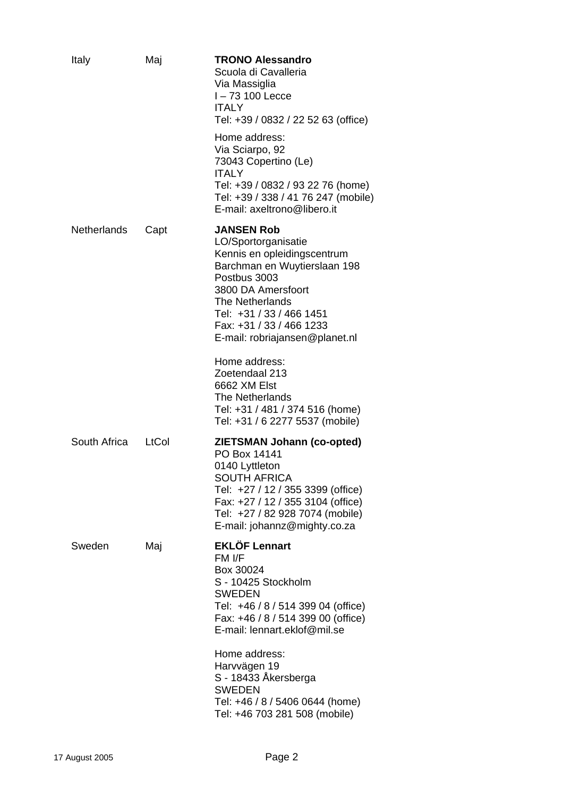| Italy              | Maj   | <b>TRONO Alessandro</b><br>Scuola di Cavalleria<br>Via Massiglia<br>I-73 100 Lecce<br><b>ITALY</b><br>Tel: +39 / 0832 / 22 52 63 (office)                                                                                                                  |
|--------------------|-------|------------------------------------------------------------------------------------------------------------------------------------------------------------------------------------------------------------------------------------------------------------|
|                    |       | Home address:<br>Via Sciarpo, 92<br>73043 Copertino (Le)<br><b>ITALY</b><br>Tel: +39 / 0832 / 93 22 76 (home)<br>Tel: +39 / 338 / 41 76 247 (mobile)<br>E-mail: axeltrono@libero.it                                                                        |
| <b>Netherlands</b> | Capt  | <b>JANSEN Rob</b><br>LO/Sportorganisatie<br>Kennis en opleidingscentrum<br>Barchman en Wuytierslaan 198<br>Postbus 3003<br>3800 DA Amersfoort<br>The Netherlands<br>Tel: +31 / 33 / 466 1451<br>Fax: +31 / 33 / 466 1233<br>E-mail: robriajansen@planet.nl |
|                    |       | Home address:<br>Zoetendaal 213<br>6662 XM Elst<br><b>The Netherlands</b><br>Tel: +31 / 481 / 374 516 (home)<br>Tel: +31 / 6 2277 5537 (mobile)                                                                                                            |
| South Africa       | LtCol | <b>ZIETSMAN Johann (co-opted)</b><br>PO Box 14141<br>0140 Lyttleton<br><b>SOUTH AFRICA</b><br>Tel: +27 / 12 / 355 3399 (office)<br>Fax: +27 / 12 / 355 3104 (office)<br>Tel: +27 / 82 928 7074 (mobile)<br>E-mail: johannz@mighty.co.za                    |
| Sweden             | Maj   | <b>EKLÖF Lennart</b><br>FM I/F<br>Box 30024<br>S - 10425 Stockholm<br>SWEDEN<br>Tel: +46 / 8 / 514 399 04 (office)<br>Fax: +46 / 8 / 514 399 00 (office)<br>E-mail: lennart.eklof@mil.se                                                                   |
|                    |       | Home address:<br>Harvvägen 19<br>S - 18433 Åkersberga<br><b>SWEDEN</b><br>Tel: +46 / 8 / 5406 0644 (home)<br>Tel: +46 703 281 508 (mobile)                                                                                                                 |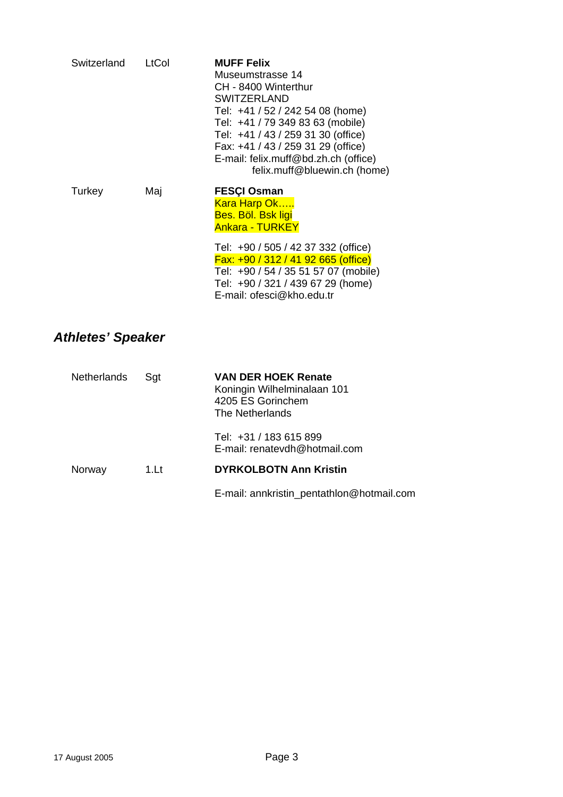| Switzerland | LtCol | <b>MUFF Felix</b><br>Museumstrasse 14<br>CH - 8400 Winterthur<br><b>SWITZERLAND</b><br>Tel: +41 / 52 / 242 54 08 (home)<br>Tel: +41 / 79 349 83 63 (mobile)<br>Tel: +41 / 43 / 259 31 30 (office)<br>Fax: +41 / 43 / 259 31 29 (office)<br>E-mail: felix.muff@bd.zh.ch (office)<br>felix.muff@bluewin.ch (home) |
|-------------|-------|-----------------------------------------------------------------------------------------------------------------------------------------------------------------------------------------------------------------------------------------------------------------------------------------------------------------|
| Turkey      | Maj   | <b>FESCI Osman</b><br><b>Kara Harp Ok</b><br><b>Bes. Böl. Bsk ligi</b><br><b>Ankara - TURKEY</b><br>Tel: +90 / 505 / 42 37 332 (office)<br>$Fx: +90 / 312 / 41 92 665 (office)$<br>Tel: +90 / 54 / 35 51 57 07 (mobile)<br>Tel: +90 / 321 / 439 67 29 (home)<br>E-mail: ofesci@kho.edu.tr                       |

# *Athletes' Speaker*

| Netherlands | Sat  | <b>VAN DER HOEK Renate</b><br>Koningin Wilhelminalaan 101<br>4205 ES Gorinchem<br>The Netherlands |
|-------------|------|---------------------------------------------------------------------------------------------------|
|             |      | Tel: +31 / 183 615 899<br>E-mail: renatevdh@hotmail.com                                           |
| Norway      | 1.Lt | <b>DYRKOLBOTN Ann Kristin</b>                                                                     |
|             |      | E-mail: annkristin_pentathlon@hotmail.com                                                         |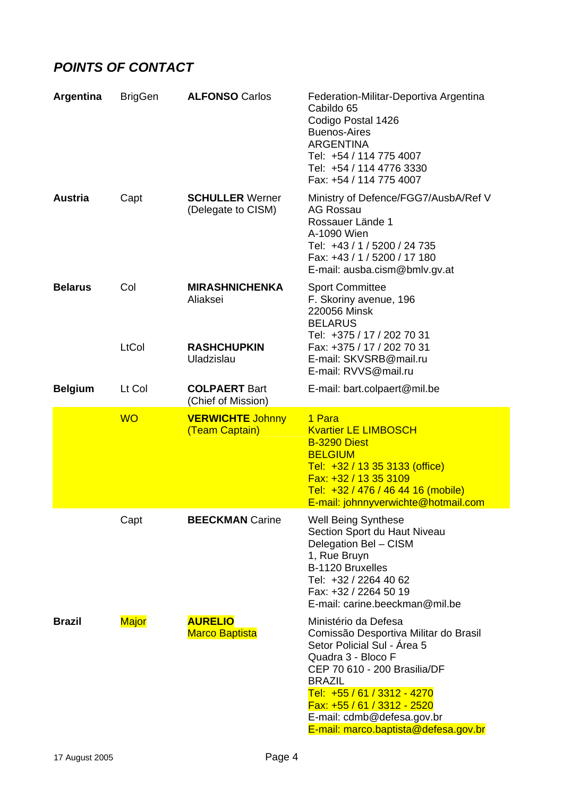### *POINTS OF CONTACT*

| Argentina      | <b>BrigGen</b> | <b>ALFONSO Carlos</b>                                   | Federation-Militar-Deportiva Argentina<br>Cabildo 65<br>Codigo Postal 1426<br><b>Buenos-Aires</b><br><b>ARGENTINA</b><br>Tel: +54 / 114 775 4007<br>Tel: +54 / 114 4776 3330<br>Fax: +54 / 114 775 4007                                                                                                 |
|----------------|----------------|---------------------------------------------------------|---------------------------------------------------------------------------------------------------------------------------------------------------------------------------------------------------------------------------------------------------------------------------------------------------------|
| <b>Austria</b> | Capt           | <b>SCHULLER Werner</b><br>(Delegate to CISM)            | Ministry of Defence/FGG7/AusbA/Ref V<br><b>AG Rossau</b><br>Rossauer Lände 1<br>A-1090 Wien<br>Tel: +43 / 1 / 5200 / 24 735<br>Fax: +43 / 1 / 5200 / 17 180<br>E-mail: ausba.cism@bmlv.gv.at                                                                                                            |
| <b>Belarus</b> | Col<br>LtCol   | <b>MIRASHNICHENKA</b><br>Aliaksei<br><b>RASHCHUPKIN</b> | <b>Sport Committee</b><br>F. Skoriny avenue, 196<br>220056 Minsk<br><b>BELARUS</b><br>Tel: +375 / 17 / 202 70 31<br>Fax: +375 / 17 / 202 70 31                                                                                                                                                          |
|                |                | Uladzislau                                              | E-mail: SKVSRB@mail.ru<br>E-mail: RVVS@mail.ru                                                                                                                                                                                                                                                          |
| <b>Belgium</b> | Lt Col         | <b>COLPAERT Bart</b><br>(Chief of Mission)              | E-mail: bart.colpaert@mil.be                                                                                                                                                                                                                                                                            |
|                | <b>WO</b>      | <b>VERWICHTE Johnny</b><br>(Team Captain)               | 1 Para<br><b>Kvartier LE LIMBOSCH</b><br>B-3290 Diest<br><b>BELGIUM</b><br>Tel: +32 / 13 35 3133 (office)<br>Fax: +32 / 13 35 3109<br>Tel: +32 / 476 / 46 44 16 (mobile)<br>E-mail: johnnyverwichte@hotmail.com                                                                                         |
|                | Capt           | <b>BEECKMAN Carine</b>                                  | <b>Well Being Synthese</b><br>Section Sport du Haut Niveau<br>Delegation Bel - CISM<br>1, Rue Bruyn<br>B-1120 Bruxelles<br>Tel: +32 / 2264 40 62<br>Fax: +32 / 2264 50 19<br>E-mail: carine.beeckman@mil.be                                                                                             |
| <b>Brazil</b>  | <b>Major</b>   | <b>AURELIO</b><br><b>Marco Baptista</b>                 | Ministério da Defesa<br>Comissão Desportiva Militar do Brasil<br>Setor Policial Sul - Area 5<br>Quadra 3 - Bloco F<br>CEP 70 610 - 200 Brasilia/DF<br><b>BRAZIL</b><br>Tel: +55 / 61 / 3312 - 4270<br>Fax: +55 / 61 / 3312 - 2520<br>E-mail: cdmb@defesa.gov.br<br>E-mail: marco.baptista@defesa.gov.br |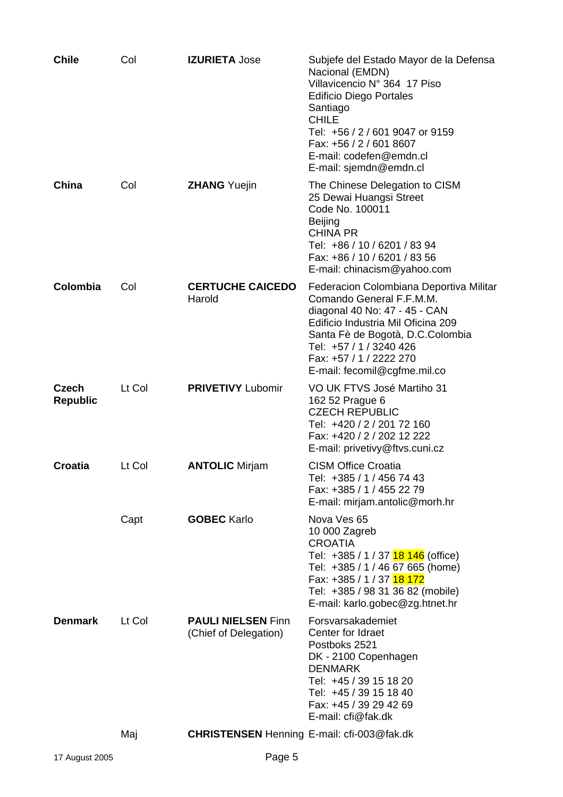| <b>Chile</b>                    | Col    | <b>IZURIETA Jose</b>                               | Subjefe del Estado Mayor de la Defensa<br>Nacional (EMDN)<br>Villavicencio Nº 364 17 Piso<br><b>Edificio Diego Portales</b><br>Santiago<br><b>CHILE</b><br>Tel: +56 / 2 / 601 9047 or 9159<br>Fax: +56 / 2 / 601 8607<br>E-mail: codefen@emdn.cl<br>E-mail: sjemdn@emdn.cl |
|---------------------------------|--------|----------------------------------------------------|----------------------------------------------------------------------------------------------------------------------------------------------------------------------------------------------------------------------------------------------------------------------------|
| China                           | Col    | <b>ZHANG</b> Yuejin                                | The Chinese Delegation to CISM<br>25 Dewai Huangsi Street<br>Code No. 100011<br><b>Beijing</b><br><b>CHINA PR</b><br>Tel: +86 / 10 / 6201 / 83 94<br>Fax: +86 / 10 / 6201 / 83 56<br>E-mail: chinacism@yahoo.com                                                           |
| Colombia                        | Col    | <b>CERTUCHE CAICEDO</b><br>Harold                  | Federacion Colombiana Deportiva Militar<br>Comando General F.F.M.M.<br>diagonal 40 No: 47 - 45 - CAN<br>Edificio Industria Mil Oficina 209<br>Santa Fè de Bogotà, D.C.Colombia<br>Tel: +57 / 1 / 3240 426<br>Fax: +57 / 1 / 2222 270<br>E-mail: fecomil@cgfme.mil.co       |
| <b>Czech</b><br><b>Republic</b> | Lt Col | <b>PRIVETIVY Lubomir</b>                           | VO UK FTVS José Martiho 31<br>162 52 Prague 6<br><b>CZECH REPUBLIC</b><br>Tel: +420 / 2 / 201 72 160<br>Fax: +420 / 2 / 202 12 222<br>E-mail: privetivy@ftvs.cuni.cz                                                                                                       |
| <b>Croatia</b>                  | Lt Col | <b>ANTOLIC Mirjam</b>                              | <b>CISM Office Croatia</b><br>Tel: +385 / 1 / 456 74 43<br>Fax: +385 / 1 / 455 22 79<br>E-mail: mirjam.antolic@morh.hr                                                                                                                                                     |
|                                 | Capt   | <b>GOBEC Karlo</b>                                 | Nova Ves 65<br>10 000 Zagreb<br><b>CROATIA</b><br>Tel: +385 / 1 / 37 18 146 (office)<br>Tel: +385 / 1 / 46 67 665 (home)<br>Fax: +385 / 1 / 37 18 172<br>Tel: +385 / 98 31 36 82 (mobile)<br>E-mail: karlo.gobec@zg.htnet.hr                                               |
| <b>Denmark</b>                  | Lt Col | <b>PAULI NIELSEN Finn</b><br>(Chief of Delegation) | Forsvarsakademiet<br>Center for Idraet<br>Postboks 2521<br>DK - 2100 Copenhagen<br><b>DENMARK</b><br>Tel: +45 / 39 15 18 20<br>Tel: +45 / 39 15 18 40<br>Fax: +45 / 39 29 42 69<br>E-mail: cfi@fak.dk                                                                      |
|                                 | Maj    | <b>CHRISTENSEN</b> Henning E-mail: cfi-003@fak.dk  |                                                                                                                                                                                                                                                                            |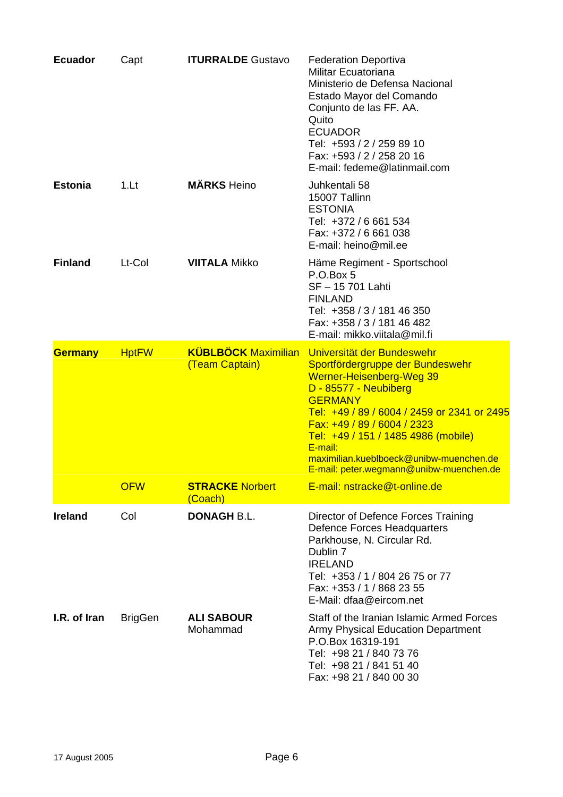| <b>Ecuador</b> | Capt           | <b>ITURRALDE Gustavo</b>          | <b>Federation Deportiva</b><br>Militar Ecuatoriana<br>Ministerio de Defensa Nacional<br>Estado Mayor del Comando<br>Conjunto de las FF. AA.<br>Quito<br><b>ECUADOR</b><br>Tel: +593 / 2 / 259 89 10<br>Fax: +593 / 2 / 258 20 16<br>E-mail: fedeme@latinmail.com                                                                                                                       |
|----------------|----------------|-----------------------------------|----------------------------------------------------------------------------------------------------------------------------------------------------------------------------------------------------------------------------------------------------------------------------------------------------------------------------------------------------------------------------------------|
| <b>Estonia</b> | 1.Lt           | <b>MÄRKS</b> Heino                | Juhkentali 58<br>15007 Tallinn<br><b>ESTONIA</b><br>Tel: +372 / 6 661 534<br>Fax: +372 / 6 661 038<br>E-mail: heino@mil.ee                                                                                                                                                                                                                                                             |
| <b>Finland</b> | Lt-Col         | <b>VIITALA Mikko</b>              | Häme Regiment - Sportschool<br>P.O.Box 5<br>SF-15 701 Lahti<br><b>FINLAND</b><br>Tel: +358 / 3 / 181 46 350<br>Fax: +358 / 3 / 181 46 482<br>E-mail: mikko.viitala@mil.fi                                                                                                                                                                                                              |
| <b>Germany</b> | <b>HptFW</b>   | (Team Captain)                    | <b>KÜBLBÖCK Maximilian</b> Universität der Bundeswehr<br>Sportfördergruppe der Bundeswehr<br>Werner-Heisenberg-Weg 39<br>D - 85577 - Neubiberg<br><b>GERMANY</b><br>Tel: +49 / 89 / 6004 / 2459 or 2341 or 2495<br>Fax: +49 / 89 / 6004 / 2323<br>Tel: +49 / 151 / 1485 4986 (mobile)<br>E-mail:<br>maximilian.kueblboeck@unibw-muenchen.de<br>E-mail: peter.wegmann@unibw-muenchen.de |
|                | <b>OFW</b>     | <b>STRACKE Norbert</b><br>(Coach) | E-mail: nstracke@t-online.de                                                                                                                                                                                                                                                                                                                                                           |
| <b>Ireland</b> | Col            | <b>DONAGH B.L.</b>                | Director of Defence Forces Training<br>Defence Forces Headquarters<br>Parkhouse, N. Circular Rd.<br>Dublin 7<br><b>IRELAND</b><br>Tel: +353 / 1 / 804 26 75 or 77<br>Fax: +353 / 1 / 868 23 55<br>E-Mail: dfaa@eircom.net                                                                                                                                                              |
| I.R. of Iran   | <b>BrigGen</b> | <b>ALI SABOUR</b><br>Mohammad     | Staff of the Iranian Islamic Armed Forces<br><b>Army Physical Education Department</b><br>P.O.Box 16319-191<br>Tel: +98 21 / 840 73 76<br>Tel: +98 21 / 841 51 40<br>Fax: +98 21 / 840 00 30                                                                                                                                                                                           |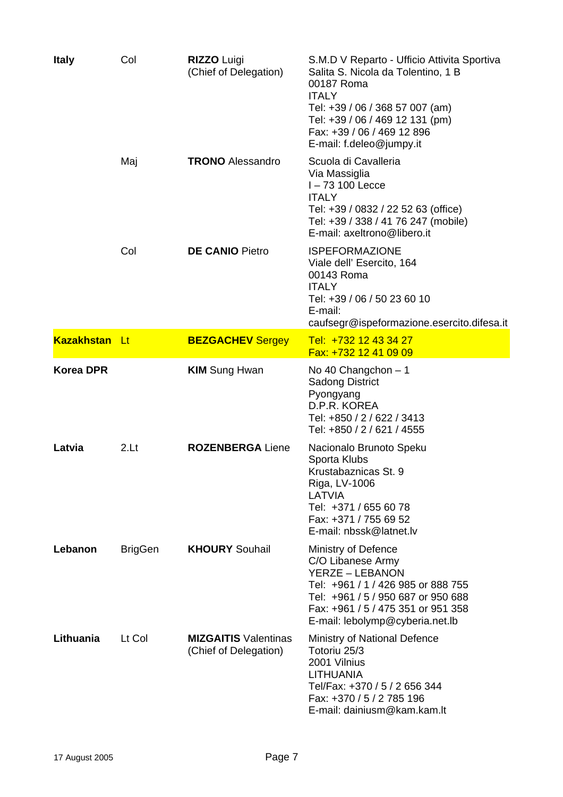| <b>Italy</b>         | Col            | <b>RIZZO Luigi</b><br>(Chief of Delegation)          | S.M.D V Reparto - Ufficio Attivita Sportiva<br>Salita S. Nicola da Tolentino, 1 B<br>00187 Roma<br><b>ITALY</b><br>Tel: +39 / 06 / 368 57 007 (am)<br>Tel: +39 / 06 / 469 12 131 (pm)<br>Fax: +39 / 06 / 469 12 896<br>E-mail: f.deleo@jumpy.it |
|----------------------|----------------|------------------------------------------------------|-------------------------------------------------------------------------------------------------------------------------------------------------------------------------------------------------------------------------------------------------|
|                      | Maj            | <b>TRONO</b> Alessandro                              | Scuola di Cavalleria<br>Via Massiglia<br>$I - 73$ 100 Lecce<br><b>ITALY</b><br>Tel: +39 / 0832 / 22 52 63 (office)<br>Tel: +39 / 338 / 41 76 247 (mobile)<br>E-mail: axeltrono@libero.it                                                        |
|                      | Col            | <b>DE CANIO Pietro</b>                               | <b>ISPEFORMAZIONE</b><br>Viale dell' Esercito, 164<br>00143 Roma<br><b>ITALY</b><br>Tel: +39 / 06 / 50 23 60 10<br>E-mail:<br>caufsegr@ispeformazione.esercito.difesa.it                                                                        |
| <b>Kazakhstan Lt</b> |                | <b>BEZGACHEV Sergey</b>                              | Tel: +732 12 43 34 27<br>Fax: +732 12 41 09 09                                                                                                                                                                                                  |
| <b>Korea DPR</b>     |                | <b>KIM</b> Sung Hwan                                 | No 40 Changchon - 1<br><b>Sadong District</b><br>Pyongyang<br>D.P.R. KOREA<br>Tel: +850 / 2 / 622 / 3413<br>Tel: +850 / 2 / 621 / 4555                                                                                                          |
| Latvia               | 2.Lt           | <b>ROZENBERGA Liene</b>                              | Nacionalo Brunoto Speku<br>Sporta Klubs<br>Krustabaznicas St. 9<br>Riga, LV-1006<br>LATVIA<br>Tel: +371 / 655 60 78<br>Fax: +371 / 755 69 52<br>E-mail: nbssk@latnet.lv                                                                         |
| Lebanon              | <b>BrigGen</b> | <b>KHOURY Souhail</b>                                | Ministry of Defence<br>C/O Libanese Army<br><b>YERZE - LEBANON</b><br>Tel: +961 / 1 / 426 985 or 888 755<br>Tel: +961 / 5 / 950 687 or 950 688<br>Fax: +961 / 5 / 475 351 or 951 358<br>E-mail: lebolymp@cyberia.net.lb                         |
| Lithuania            | Lt Col         | <b>MIZGAITIS Valentinas</b><br>(Chief of Delegation) | Ministry of National Defence<br>Totoriu 25/3<br>2001 Vilnius<br><b>LITHUANIA</b><br>Tel/Fax: +370 / 5 / 2 656 344<br>Fax: +370 / 5 / 2 785 196<br>E-mail: dainiusm@kam.kam.lt                                                                   |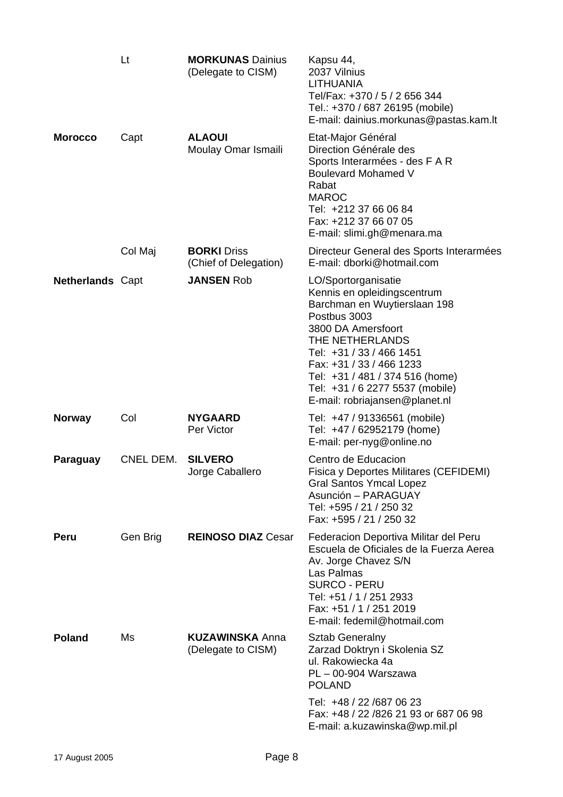|                         | Lt        | <b>MORKUNAS Dainius</b><br>(Delegate to CISM) | Kapsu 44,<br>2037 Vilnius<br><b>LITHUANIA</b><br>Tel/Fax: +370 / 5 / 2 656 344<br>Tel.: +370 / 687 26195 (mobile)<br>E-mail: dainius.morkunas@pastas.kam.lt                                                                                                                                                 |
|-------------------------|-----------|-----------------------------------------------|-------------------------------------------------------------------------------------------------------------------------------------------------------------------------------------------------------------------------------------------------------------------------------------------------------------|
| <b>Morocco</b>          | Capt      | <b>ALAOUI</b><br>Moulay Omar Ismaili          | Etat-Major Général<br>Direction Générale des<br>Sports Interarmées - des F A R<br><b>Boulevard Mohamed V</b><br>Rabat<br><b>MAROC</b><br>Tel: +212 37 66 06 84<br>Fax: +212 37 66 07 05<br>E-mail: slimi.gh@menara.ma                                                                                       |
|                         | Col Maj   | <b>BORKI</b> Driss<br>(Chief of Delegation)   | Directeur General des Sports Interarmées<br>E-mail: dborki@hotmail.com                                                                                                                                                                                                                                      |
| <b>Netherlands Capt</b> |           | <b>JANSEN Rob</b>                             | LO/Sportorganisatie<br>Kennis en opleidingscentrum<br>Barchman en Wuytierslaan 198<br>Postbus 3003<br>3800 DA Amersfoort<br>THE NETHERLANDS<br>Tel: +31 / 33 / 466 1451<br>Fax: +31 / 33 / 466 1233<br>Tel: +31 / 481 / 374 516 (home)<br>Tel: +31 / 6 2277 5537 (mobile)<br>E-mail: robriajansen@planet.nl |
| <b>Norway</b>           | Col       | <b>NYGAARD</b><br>Per Victor                  | Tel: +47 / 91336561 (mobile)<br>Tel: +47 / 62952179 (home)<br>E-mail: per-nyg@online.no                                                                                                                                                                                                                     |
| Paraguay                | CNEL DEM. | <b>SILVERO</b><br>Jorge Caballero             | Centro de Educacion<br>Fisica y Deportes Militares (CEFIDEMI)<br><b>Gral Santos Ymcal Lopez</b><br>Asunción - PARAGUAY<br>Tel: +595 / 21 / 250 32<br>Fax: +595 / 21 / 250 32                                                                                                                                |
| Peru                    | Gen Brig  | <b>REINOSO DIAZ Cesar</b>                     | Federacion Deportiva Militar del Peru<br>Escuela de Oficiales de la Fuerza Aerea<br>Av. Jorge Chavez S/N<br>Las Palmas<br><b>SURCO - PERU</b><br>Tel: +51 / 1 / 251 2933<br>Fax: +51 / 1 / 251 2019<br>E-mail: fedemil@hotmail.com                                                                          |
| <b>Poland</b>           | Ms        | <b>KUZAWINSKA Anna</b><br>(Delegate to CISM)  | <b>Sztab Generalny</b><br>Zarzad Doktryn i Skolenia SZ<br>ul. Rakowiecka 4a<br>$PL - 00-904$ Warszawa<br><b>POLAND</b>                                                                                                                                                                                      |
|                         |           |                                               | Tel: +48 / 22 /687 06 23<br>Fax: +48 / 22 /826 21 93 or 687 06 98<br>E-mail: a.kuzawinska@wp.mil.pl                                                                                                                                                                                                         |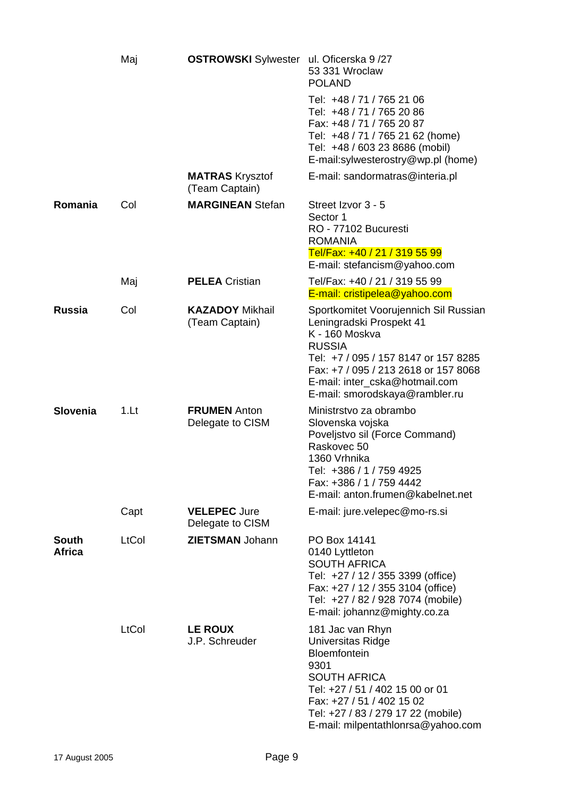|                               | Maj   | <b>OSTROWSKI</b> Sylwester ul. Oficerska 9/27 | 53 331 Wroclaw<br><b>POLAND</b>                                                                                                                                                                                                                          |
|-------------------------------|-------|-----------------------------------------------|----------------------------------------------------------------------------------------------------------------------------------------------------------------------------------------------------------------------------------------------------------|
|                               |       |                                               | Tel: +48 / 71 / 765 21 06<br>Tel: +48 / 71 / 765 20 86<br>Fax: +48 / 71 / 765 20 87<br>Tel: +48 / 71 / 765 21 62 (home)<br>Tel: +48 / 603 23 8686 (mobil)<br>E-mail:sylwesterostry@wp.pl (home)                                                          |
|                               |       | <b>MATRAS</b> Krysztof<br>(Team Captain)      | E-mail: sandormatras@interia.pl                                                                                                                                                                                                                          |
| Romania                       | Col   | <b>MARGINEAN Stefan</b>                       | Street Izvor 3 - 5<br>Sector 1<br>RO - 77102 Bucuresti<br><b>ROMANIA</b><br>Tel/Fax: +40 / 21 / 319 55 99<br>E-mail: stefancism@yahoo.com                                                                                                                |
|                               | Maj   | <b>PELEA Cristian</b>                         | Tel/Fax: +40 / 21 / 319 55 99<br>E-mail: cristipelea@yahoo.com                                                                                                                                                                                           |
| <b>Russia</b>                 | Col   | <b>KAZADOY Mikhail</b><br>(Team Captain)      | Sportkomitet Voorujennich Sil Russian<br>Leningradski Prospekt 41<br>K - 160 Moskva<br><b>RUSSIA</b><br>Tel: +7 / 095 / 157 8147 or 157 8285<br>Fax: +7 / 095 / 213 2618 or 157 8068<br>E-mail: inter_cska@hotmail.com<br>E-mail: smorodskaya@rambler.ru |
| <b>Slovenia</b>               | 1.Lt  | <b>FRUMEN Anton</b><br>Delegate to CISM       | Ministrstvo za obrambo<br>Slovenska vojska<br>Poveljstvo sil (Force Command)<br>Raskovec 50<br>1360 Vrhnika<br>Tel: +386 / 1 / 759 4925<br>Fax: +386 / 1 / 759 4442<br>E-mail: anton.frumen@kabelnet.net                                                 |
|                               | Capt  | <b>VELEPEC Jure</b><br>Delegate to CISM       | E-mail: jure.velepec@mo-rs.si                                                                                                                                                                                                                            |
| <b>South</b><br><b>Africa</b> | LtCol | <b>ZIETSMAN Johann</b>                        | PO Box 14141<br>0140 Lyttleton<br><b>SOUTH AFRICA</b><br>Tel: +27 / 12 / 355 3399 (office)<br>Fax: +27 / 12 / 355 3104 (office)<br>Tel: +27 / 82 / 928 7074 (mobile)<br>E-mail: johannz@mighty.co.za                                                     |
|                               | LtCol | <b>LE ROUX</b><br>J.P. Schreuder              | 181 Jac van Rhyn<br>Universitas Ridge<br>Bloemfontein<br>9301<br><b>SOUTH AFRICA</b><br>Tel: +27 / 51 / 402 15 00 or 01<br>Fax: +27 / 51 / 402 15 02<br>Tel: +27 / 83 / 279 17 22 (mobile)<br>E-mail: milpentathlonrsa@yahoo.com                         |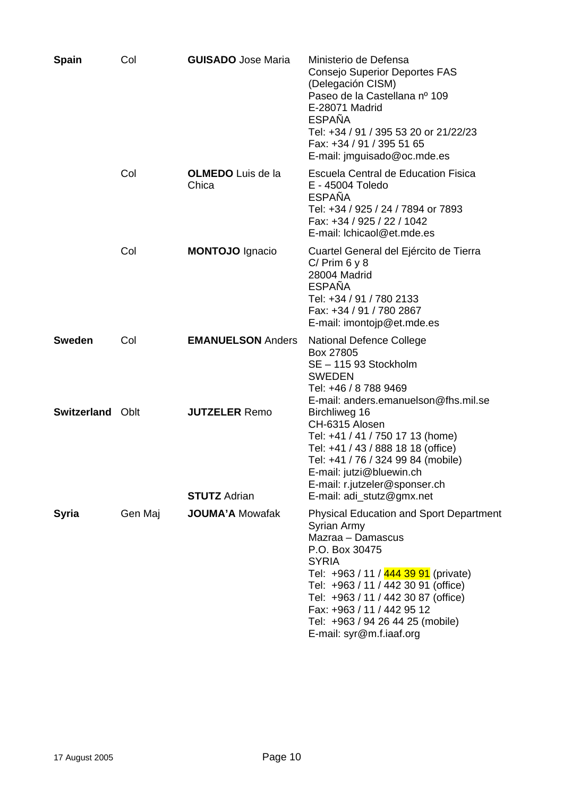| <b>Spain</b>            | Col     | <b>GUISADO</b> Jose Maria                   | Ministerio de Defensa<br><b>Consejo Superior Deportes FAS</b><br>(Delegación CISM)<br>Paseo de la Castellana nº 109<br>E-28071 Madrid<br><b>ESPAÑA</b><br>Tel: +34 / 91 / 395 53 20 or 21/22/23<br>Fax: +34 / 91 / 395 51 65<br>E-mail: jmguisado@oc.mde.es                                                                              |
|-------------------------|---------|---------------------------------------------|------------------------------------------------------------------------------------------------------------------------------------------------------------------------------------------------------------------------------------------------------------------------------------------------------------------------------------------|
|                         | Col     | <b>OLMEDO</b> Luis de la<br>Chica           | Escuela Central de Education Fisica<br>E - 45004 Toledo<br><b>ESPAÑA</b><br>Tel: +34 / 925 / 24 / 7894 or 7893<br>Fax: +34 / 925 / 22 / 1042<br>E-mail: Ichicaol@et.mde.es                                                                                                                                                               |
|                         | Col     | <b>MONTOJO Ignacio</b>                      | Cuartel General del Ejército de Tierra<br>$C/$ Prim 6 y 8<br>28004 Madrid<br><b>ESPAÑA</b><br>Tel: +34 / 91 / 780 2133<br>Fax: +34 / 91 / 780 2867<br>E-mail: imontojp@et.mde.es                                                                                                                                                         |
| <b>Sweden</b>           | Col     | <b>EMANUELSON Anders</b>                    | <b>National Defence College</b><br>Box 27805<br>SE - 115 93 Stockholm<br><b>SWEDEN</b><br>Tel: +46 / 8 788 9469<br>E-mail: anders.emanuelson@fhs.mil.se                                                                                                                                                                                  |
| <b>Switzerland Oblt</b> |         | <b>JUTZELER Remo</b><br><b>STUTZ Adrian</b> | Birchliweg 16<br>CH-6315 Alosen<br>Tel: +41 / 41 / 750 17 13 (home)<br>Tel: +41 / 43 / 888 18 18 (office)<br>Tel: +41 / 76 / 324 99 84 (mobile)<br>E-mail: jutzi@bluewin.ch<br>E-mail: r.jutzeler@sponser.ch<br>E-mail: adi_stutz@gmx.net                                                                                                |
| <b>Syria</b>            | Gen Maj | <b>JOUMA'A Mowafak</b>                      | <b>Physical Education and Sport Department</b><br>Syrian Army<br>Mazraa - Damascus<br>P.O. Box 30475<br><b>SYRIA</b><br>Tel: +963 / 11 / 444 39 91 (private)<br>Tel: +963 / 11 / 442 30 91 (office)<br>Tel: +963 / 11 / 442 30 87 (office)<br>Fax: +963 / 11 / 442 95 12<br>Tel: +963 / 94 26 44 25 (mobile)<br>E-mail: syr@m.f.iaaf.org |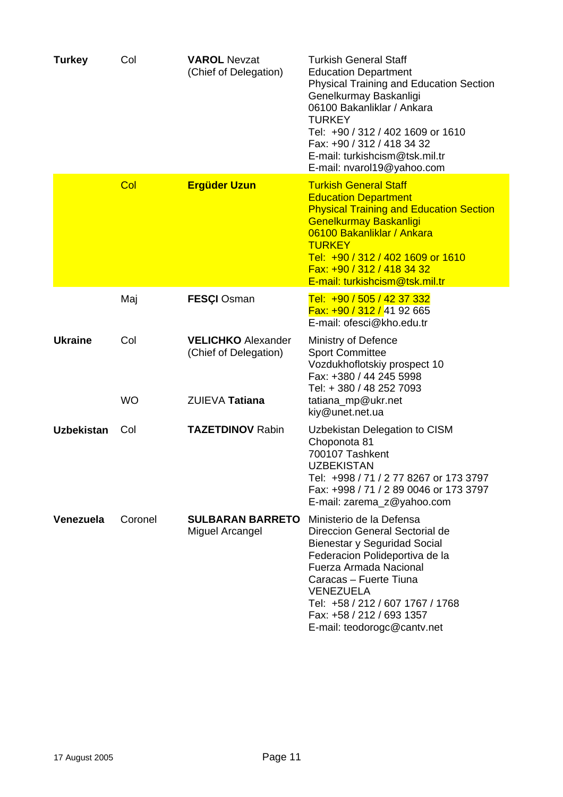| <b>Turkey</b>     | Col       | <b>VAROL Nevzat</b><br>(Chief of Delegation)       | <b>Turkish General Staff</b><br><b>Education Department</b><br><b>Physical Training and Education Section</b><br>Genelkurmay Baskanligi<br>06100 Bakanliklar / Ankara<br><b>TURKEY</b><br>Tel: +90 / 312 / 402 1609 or 1610<br>Fax: +90 / 312 / 418 34 32<br>E-mail: turkishcism@tsk.mil.tr<br>E-mail: nvarol19@yahoo.com |
|-------------------|-----------|----------------------------------------------------|---------------------------------------------------------------------------------------------------------------------------------------------------------------------------------------------------------------------------------------------------------------------------------------------------------------------------|
|                   | Col       | <b>Ergüder Uzun</b>                                | <b>Turkish General Staff</b>                                                                                                                                                                                                                                                                                              |
|                   |           |                                                    | <b>Education Department</b><br><b>Physical Training and Education Section</b><br><b>Genelkurmay Baskanligi</b><br>06100 Bakanliklar / Ankara<br><b>TURKEY</b><br>Tel: +90 / 312 / 402 1609 or 1610<br>Fax: +90 / 312 / 418 34 32<br>E-mail: turkishcism@tsk.mil.tr                                                        |
|                   | Maj       | <b>FESÇI Osman</b>                                 | Tel: +90 / 505 / 42 37 332<br>$Fax: +90/312/4192665$<br>E-mail: ofesci@kho.edu.tr                                                                                                                                                                                                                                         |
| <b>Ukraine</b>    | Col       | <b>VELICHKO Alexander</b><br>(Chief of Delegation) | <b>Ministry of Defence</b><br><b>Sport Committee</b><br>Vozdukhoflotskiy prospect 10<br>Fax: +380 / 44 245 5998<br>Tel: + 380 / 48 252 7093                                                                                                                                                                               |
|                   | <b>WO</b> | ZUIEVA Tatiana                                     | tatiana_mp@ukr.net<br>kiy@unet.net.ua                                                                                                                                                                                                                                                                                     |
| <b>Uzbekistan</b> | Col       | <b>TAZETDINOV Rabin</b>                            | Uzbekistan Delegation to CISM<br>Choponota 81<br>700107 Tashkent<br><b>UZBEKISTAN</b><br>Tel: +998 / 71 / 2 77 8267 or 173 3797<br>Fax: +998 / 71 / 2 89 0046 or 173 3797<br>E-mail: zarema_z@yahoo.com                                                                                                                   |
| Venezuela         | Coronel   | <b>SULBARAN BARRETO</b><br><b>Miguel Arcangel</b>  | Ministerio de la Defensa<br>Direccion General Sectorial de<br>Bienestar y Seguridad Social<br>Federacion Polideportiva de la<br>Fuerza Armada Nacional<br>Caracas - Fuerte Tiuna<br><b>VENEZUELA</b><br>Tel: +58 / 212 / 607 1767 / 1768<br>Fax: +58 / 212 / 693 1357<br>E-mail: teodorogc@cantv.net                      |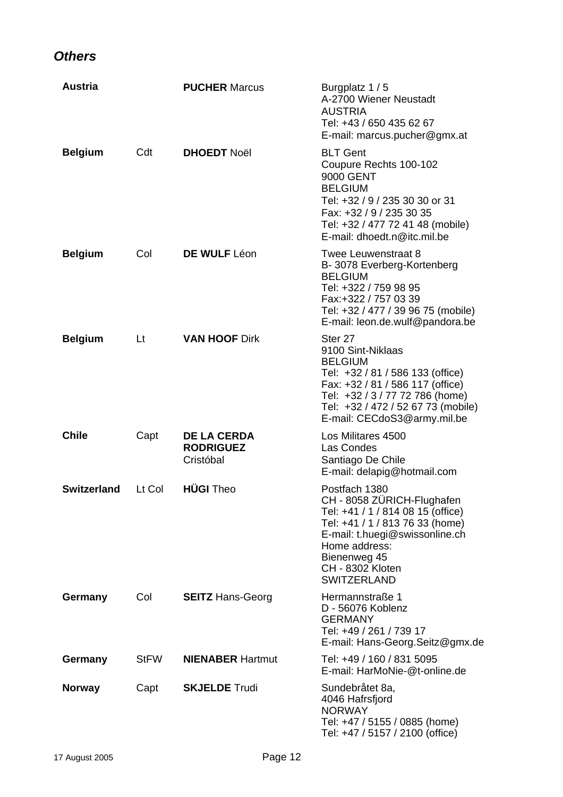#### *Others*

| <b>Austria</b>     |             | <b>PUCHER Marcus</b>                                | Burgplatz 1 / 5<br>A-2700 Wiener Neustadt<br><b>AUSTRIA</b><br>Tel: +43 / 650 435 62 67<br>E-mail: marcus.pucher@gmx.at                                                                                                                   |
|--------------------|-------------|-----------------------------------------------------|-------------------------------------------------------------------------------------------------------------------------------------------------------------------------------------------------------------------------------------------|
| <b>Belgium</b>     | Cdt         | <b>DHOEDT Noël</b>                                  | <b>BLT Gent</b><br>Coupure Rechts 100-102<br>9000 GENT<br><b>BELGIUM</b><br>Tel: +32 / 9 / 235 30 30 or 31<br>Fax: +32 / 9 / 235 30 35<br>Tel: +32 / 477 72 41 48 (mobile)<br>E-mail: dhoedt.n@itc.mil.be                                 |
| <b>Belgium</b>     | Col         | DE WULF Léon                                        | Twee Leuwenstraat 8<br>B-3078 Everberg-Kortenberg<br><b>BELGIUM</b><br>Tel: +322 / 759 98 95<br>Fax:+322 / 757 03 39<br>Tel: +32 / 477 / 39 96 75 (mobile)<br>E-mail: leon.de.wulf@pandora.be                                             |
| <b>Belgium</b>     | Lt          | <b>VAN HOOF Dirk</b>                                | Ster <sub>27</sub><br>9100 Sint-Niklaas<br><b>BELGIUM</b><br>Tel: +32 / 81 / 586 133 (office)<br>Fax: +32 / 81 / 586 117 (office)<br>Tel: +32 / 3 / 77 72 786 (home)<br>Tel: +32 / 472 / 52 67 73 (mobile)<br>E-mail: CECdoS3@army.mil.be |
| <b>Chile</b>       | Capt        | <b>DE LA CERDA</b><br><b>RODRIGUEZ</b><br>Cristóbal | Los Militares 4500<br>Las Condes<br>Santiago De Chile<br>E-mail: delapig@hotmail.com                                                                                                                                                      |
| <b>Switzerland</b> | Lt Col      | <b>HÜGI</b> Theo                                    | Postfach 1380<br>CH - 8058 ZÜRICH-Flughafen<br>Tel: +41 / 1 / 814 08 15 (office)<br>Tel: +41 / 1 / 813 76 33 (home)<br>E-mail: t.huegi@swissonline.ch<br>Home address:<br>Bienenweg 45<br><b>CH - 8302 Kloten</b><br><b>SWITZERLAND</b>   |
| Germany            | Col         | <b>SEITZ Hans-Georg</b>                             | Hermannstraße 1<br>D - 56076 Koblenz<br><b>GERMANY</b><br>Tel: +49 / 261 / 739 17<br>E-mail: Hans-Georg.Seitz@gmx.de                                                                                                                      |
| Germany            | <b>StFW</b> | <b>NIENABER Hartmut</b>                             | Tel: +49 / 160 / 831 5095<br>E-mail: HarMoNie-@t-online.de                                                                                                                                                                                |
| <b>Norway</b>      | Capt        | <b>SKJELDE Trudi</b>                                | Sundebråtet 8a,<br>4046 Hafrsfjord<br><b>NORWAY</b><br>Tel: +47 / 5155 / 0885 (home)<br>Tel: +47 / 5157 / 2100 (office)                                                                                                                   |